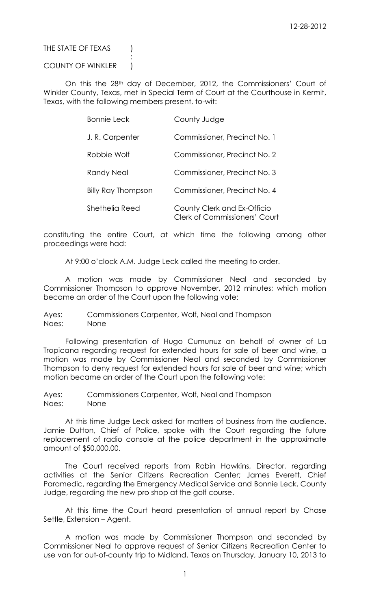THE STATE OF TEXAS (

COUNTY OF WINKLER |

:

On this the 28<sup>th</sup> day of December, 2012, the Commissioners' Court of Winkler County, Texas, met in Special Term of Court at the Courthouse in Kermit, Texas, with the following members present, to-wit:

| <b>Bonnie Leck</b>        | County Judge                                                        |
|---------------------------|---------------------------------------------------------------------|
| J. R. Carpenter           | Commissioner, Precinct No. 1                                        |
| Robbie Wolf               | Commissioner, Precinct No. 2                                        |
| Randy Neal                | Commissioner, Precinct No. 3                                        |
| <b>Billy Ray Thompson</b> | Commissioner, Precinct No. 4                                        |
| Shethelia Reed            | County Clerk and Ex-Officio<br><b>Clerk of Commissioners' Court</b> |

constituting the entire Court, at which time the following among other proceedings were had:

At 9:00 o'clock A.M. Judge Leck called the meeting to order.

A motion was made by Commissioner Neal and seconded by Commissioner Thompson to approve November, 2012 minutes; which motion became an order of the Court upon the following vote:

Ayes: Commissioners Carpenter, Wolf, Neal and Thompson Noes: None

Following presentation of Hugo Cumunuz on behalf of owner of La Tropicana regarding request for extended hours for sale of beer and wine, a motion was made by Commissioner Neal and seconded by Commissioner Thompson to deny request for extended hours for sale of beer and wine; which motion became an order of the Court upon the following vote:

Ayes: Commissioners Carpenter, Wolf, Neal and Thompson Noes: None

At this time Judge Leck asked for matters of business from the audience. Jamie Dutton, Chief of Police, spoke with the Court regarding the future replacement of radio console at the police department in the approximate amount of \$50,000.00.

The Court received reports from Robin Hawkins, Director, regarding activities at the Senior Citizens Recreation Center; James Everett, Chief Paramedic, regarding the Emergency Medical Service and Bonnie Leck, County Judge, regarding the new pro shop at the golf course.

At this time the Court heard presentation of annual report by Chase Settle, Extension – Agent.

A motion was made by Commissioner Thompson and seconded by Commissioner Neal to approve request of Senior Citizens Recreation Center to use van for out-of-county trip to Midland, Texas on Thursday, January 10, 2013 to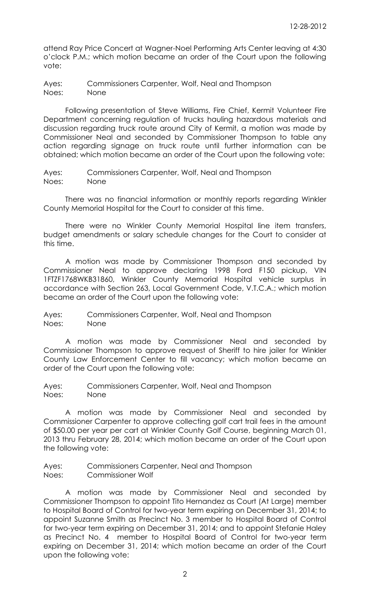attend Ray Price Concert at Wagner-Noel Performing Arts Center leaving at 4:30 o'clock P.M.; which motion became an order of the Court upon the following vote:

Ayes: Commissioners Carpenter, Wolf, Neal and Thompson Noes: None

Following presentation of Steve Williams, Fire Chief, Kermit Volunteer Fire Department concerning regulation of trucks hauling hazardous materials and discussion regarding truck route around City of Kermit, a motion was made by Commissioner Neal and seconded by Commissioner Thompson to table any action regarding signage on truck route until further information can be obtained; which motion became an order of the Court upon the following vote:

Ayes: Commissioners Carpenter, Wolf, Neal and Thompson Noes: None

There was no financial information or monthly reports regarding Winkler County Memorial Hospital for the Court to consider at this time.

There were no Winkler County Memorial Hospital line item transfers, budget amendments or salary schedule changes for the Court to consider at this time.

A motion was made by Commissioner Thompson and seconded by Commissioner Neal to approve declaring 1998 Ford F150 pickup, VIN 1FTZF1768WKB31860, Winkler County Memorial Hospital vehicle surplus in accordance with Section 263, Local Government Code, V.T.C.A.; which motion became an order of the Court upon the following vote:

Ayes: Commissioners Carpenter, Wolf, Neal and Thompson Noes: None

A motion was made by Commissioner Neal and seconded by Commissioner Thompson to approve request of Sheriff to hire jailer for Winkler County Law Enforcement Center to fill vacancy; which motion became an order of the Court upon the following vote:

Ayes: Commissioners Carpenter, Wolf, Neal and Thompson Noes: None

A motion was made by Commissioner Neal and seconded by Commissioner Carpenter to approve collecting golf cart trail fees in the amount of \$50.00 per year per cart at Winkler County Golf Course, beginning March 01, 2013 thru February 28, 2014; which motion became an order of the Court upon the following vote:

Ayes: Commissioners Carpenter, Neal and Thompson Noes: Commissioner Wolf

A motion was made by Commissioner Neal and seconded by Commissioner Thompson to appoint Tito Hernandez as Court (At Large) member to Hospital Board of Control for two-year term expiring on December 31, 2014; to appoint Suzanne Smith as Precinct No. 3 member to Hospital Board of Control for two-year term expiring on December 31, 2014; and to appoint Stefanie Haley as Precinct No. 4 member to Hospital Board of Control for two-year term expiring on December 31, 2014; which motion became an order of the Court upon the following vote: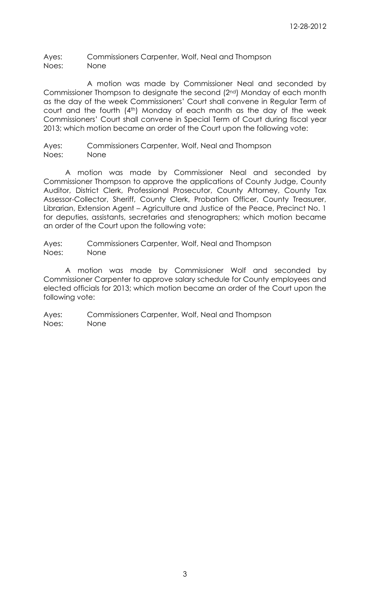Ayes: Commissioners Carpenter, Wolf, Neal and Thompson Noes: None

A motion was made by Commissioner Neal and seconded by Commissioner Thompson to designate the second (2nd) Monday of each month as the day of the week Commissioners' Court shall convene in Regular Term of court and the fourth (4th) Monday of each month as the day of the week Commissioners' Court shall convene in Special Term of Court during fiscal year 2013; which motion became an order of the Court upon the following vote:

Ayes: Commissioners Carpenter, Wolf, Neal and Thompson Noes: None

A motion was made by Commissioner Neal and seconded by Commissioner Thompson to approve the applications of County Judge, County Auditor, District Clerk, Professional Prosecutor, County Attorney, County Tax Assessor-Collector, Sheriff, County Clerk, Probation Officer, County Treasurer, Librarian, Extension Agent – Agriculture and Justice of the Peace, Precinct No. 1 for deputies, assistants, secretaries and stenographers; which motion became an order of the Court upon the following vote:

Ayes: Commissioners Carpenter, Wolf, Neal and Thompson Noes: None

A motion was made by Commissioner Wolf and seconded by Commissioner Carpenter to approve salary schedule for County employees and elected officials for 2013; which motion became an order of the Court upon the following vote: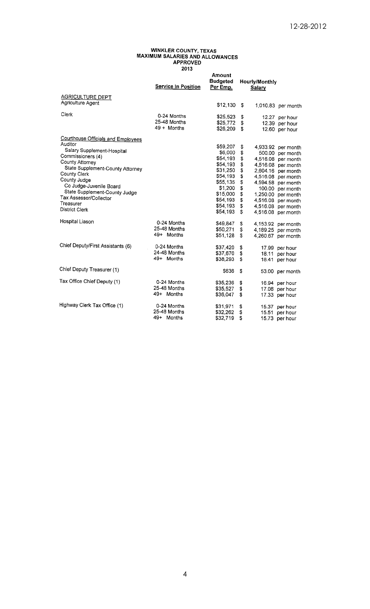# WINKLER COUNTY, TEXAS<br>MAXIMUM SALARIES AND ALLOWANCES<br>APPROVED<br>2013

|                                              | 201 V                      |                                              |                                 |          |                                          |  |
|----------------------------------------------|----------------------------|----------------------------------------------|---------------------------------|----------|------------------------------------------|--|
|                                              | <b>Service In Position</b> | <b>Amount</b><br><b>Budgeted</b><br>Per Emp. | <b>Hourly/Monthly</b><br>Salary |          |                                          |  |
| <b>AGRICULTURE DEPT</b><br>Agriculture Agent |                            | \$12,130                                     |                                 |          |                                          |  |
|                                              |                            |                                              | S                               |          | 1,010.83 per month                       |  |
| Clerk                                        | 0-24 Months                | \$25,523                                     | \$                              |          | 12.27 per hour                           |  |
|                                              | 25-48 Months               | \$25,772                                     | \$                              |          | 12.39 per hour                           |  |
|                                              | $49 +$ Months              | \$26,209                                     | \$                              |          | 12.60 per hour                           |  |
| Courthouse Officials and Employees           |                            |                                              |                                 |          |                                          |  |
| Auditor                                      |                            | \$59,207                                     |                                 |          |                                          |  |
| Salary Supplement-Hospital                   |                            | \$6,000                                      | \$                              |          | 4,933.92 per month                       |  |
| Commissioners (4)                            |                            | \$54,193                                     | \$<br>\$                        | 500.00   | per month                                |  |
| County Attorney                              |                            | \$54,193                                     | \$                              | 4,516.08 | per month                                |  |
| State Supplement-County Attorney             |                            | \$31,250                                     | \$                              |          | 4,516.08 per month                       |  |
| County Clerk                                 |                            | \$54,193                                     | \$                              |          | 2,604.16 per month<br>4,516.08 per month |  |
| County Judge                                 |                            | \$55,135                                     | \$                              | 4,594.58 | per month                                |  |
| Co Judge-Juvenile Board                      |                            | \$1,200                                      | \$                              | 100.00   | per month                                |  |
| State Supplement-County Judge                |                            | \$15,000                                     | \$                              |          | 1,250.00 per month                       |  |
| Tax Assessor/Collector                       |                            | \$54,193                                     | \$                              | 4,516.08 | per month                                |  |
| Treasurer                                    |                            | \$54,193                                     | \$                              | 4,516.08 | per month                                |  |
| <b>District Clerk</b>                        |                            | \$54,193                                     | \$                              | 4.516.08 | per month                                |  |
| Hospital Liason                              |                            |                                              |                                 |          |                                          |  |
|                                              | 0-24 Months                | \$49,847                                     | \$                              | 4,153.92 | per month                                |  |
|                                              | 25-48 Months               | \$50,271                                     | \$                              | 4,189.25 | per month                                |  |
|                                              | 49+ Months                 | \$51,128                                     | \$                              |          | 4,260.67 per month                       |  |
| Chief Deputy/First Assistants (6)            | 0-24 Months                | \$37,420                                     | \$                              |          | 17.99 per hour                           |  |
|                                              | 24-48 Months               | \$37,670                                     | \$                              |          | 18.11 per hour                           |  |
|                                              | 49+ Months                 | \$38,293                                     | \$                              |          | 18.41 per hour                           |  |
| Chief Deputy Treasurer (1)                   |                            |                                              |                                 |          |                                          |  |
|                                              |                            | \$636                                        | \$                              |          | 53.00 per month                          |  |
| Tax Office Chief Deputy (1)                  | 0-24 Months                | \$35,236                                     | \$                              |          | 16.94 per hour                           |  |
|                                              | 25-48 Months               | \$35,527                                     | \$                              |          | 17.08 per hour                           |  |
|                                              | 49+ Months                 | \$36,047                                     | \$                              |          | 17.33 per hour                           |  |
| Highway Clerk Tax Office (1)                 |                            |                                              |                                 |          |                                          |  |
|                                              | 0-24 Months                | \$31,971                                     | \$                              |          | 15.37 per hour                           |  |
|                                              | 25-48 Months               | \$32,262                                     | \$                              | 15.51    | per hour                                 |  |
|                                              | 49+ Months                 | \$32,719                                     | S                               |          | 15.73 per hour                           |  |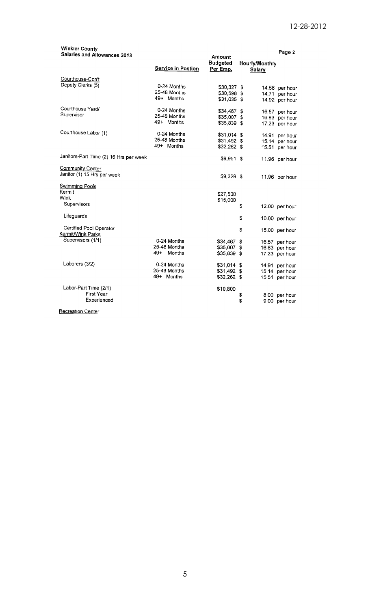| <b>Winkler County</b><br>Salaries and Allowances 2013 |                             | Amount                      |                                 | Page 2         |
|-------------------------------------------------------|-----------------------------|-----------------------------|---------------------------------|----------------|
|                                                       | Service in Postion          | <b>Budgeted</b><br>Per Emp. | Hourly/Monthly<br><b>Salary</b> |                |
| Courthouse-Con't                                      |                             |                             |                                 |                |
| Deputy Clerks (5)                                     | 0-24 Months                 | \$30,327 \$                 |                                 | 14.58 per hour |
|                                                       | 25-48 Months                | \$30,598                    | -\$                             | 14.71 per hour |
|                                                       | 49+ Months                  | $$31,035$ \$                |                                 | 14.92 per hour |
| Courthouse Yard/                                      | 0-24 Months                 | \$34,467                    | \$                              | 16.57 per hour |
| Supervisor                                            | 25-48 Months                | \$35,007                    | \$                              | 16.83 per hour |
|                                                       | 49+ Months                  | \$35,839 \$                 |                                 | 17.23 per hour |
| Courthouse Labor (1)                                  | 0-24 Months                 | \$31,014 \$                 |                                 | 14.91 per hour |
|                                                       | 25-48 Months                | \$31,492 \$                 |                                 | 15.14 per hour |
|                                                       | 49+ Months                  | \$32,262 \$                 |                                 | 15.51 per hour |
| Janitors-Part Time (2) 16 Hrs per week                |                             | $$9,951$ \$                 |                                 | 11.96 per hour |
| <b>Community Center</b>                               |                             |                             |                                 |                |
| Janitor (1) 15 Hrs per week                           |                             | $$9.329$ \$                 |                                 | 11.96 per hour |
| <b>Swimming Pools</b>                                 |                             |                             |                                 |                |
| Kermit                                                |                             | \$27,500                    |                                 |                |
| Wink                                                  |                             | \$15,000                    |                                 |                |
| Supervisors                                           |                             |                             | \$                              | 12.00 per hour |
| Lifeguards                                            |                             |                             | \$                              | 10.00 per hour |
| Certified Pool Operator<br>Kermit/Wink Parks          |                             |                             | \$                              | 15.00 per hour |
| Supervisors (1/1)                                     |                             |                             |                                 |                |
|                                                       | 0-24 Months<br>25-48 Months | \$34,467                    | \$<br>16.57                     | per hour       |
|                                                       | 49+<br>Months               | \$35,007                    | \$                              | 16.83 per hour |
|                                                       |                             | \$35,839 \$                 |                                 | 17.23 per hour |
| Laborers (3/2)                                        | 0-24 Months                 | $$31,014$ \$                | 14.91                           | per hour       |
|                                                       | 25-48 Months                | \$31,492 \$                 | 15.14                           | per hour       |
|                                                       | 49+ Months                  | \$32,262 \$                 |                                 | 15.51 per hour |
| Labor-Part Time (2/1)                                 |                             | \$10,800                    |                                 |                |
| First Year                                            |                             |                             | \$<br>8.00                      | per hour       |
| Experienced                                           |                             |                             | \$<br>9.00 <sub>1</sub>         | per hour       |

Recreation Center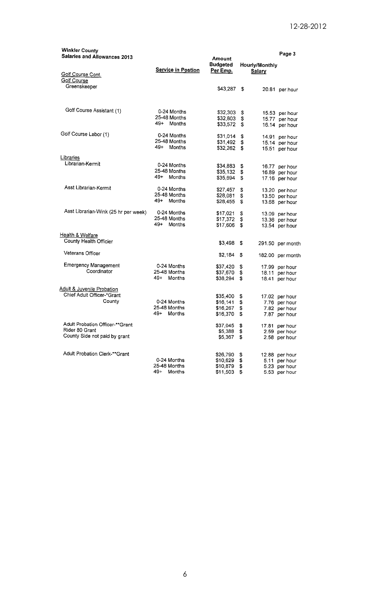| <b>Winkler County</b><br><b>Salaries and Allowances 2013</b> |                           | Amount                      |          |                                 | Page 3                         |
|--------------------------------------------------------------|---------------------------|-----------------------------|----------|---------------------------------|--------------------------------|
| Golf Course Cont.                                            | <b>Service in Postion</b> | <b>Budgeted</b><br>Per Emp. |          | Hourly/Monthly<br><b>Salary</b> |                                |
| <b>Golf Course</b>                                           |                           |                             |          |                                 |                                |
| Greenskeeper                                                 |                           | \$43,287                    | S        |                                 | 20.81 per hour                 |
| Golf Course Assistant (1)                                    | 0-24 Months               | \$32,303                    | \$       |                                 | 15.53 per hour                 |
|                                                              | 25-48 Months              | \$32,803                    | \$       |                                 | 15.77 per hour                 |
|                                                              | 49+<br>Months             | \$33,572                    | \$       |                                 | 16.14 per hour                 |
| Golf Course Labor (1)                                        | 0-24 Months               | \$31,014                    | \$       |                                 | 14.91 per hour                 |
|                                                              | 25-48 Months              | \$31,492                    | \$       |                                 | 15.14 per hour                 |
|                                                              | 49+ Months                | \$32,262                    | \$       |                                 | 15.51 per hour                 |
| Libraries                                                    |                           |                             |          |                                 |                                |
| Librarian-Kermit                                             | 0-24 Months               | \$34,883                    | \$       |                                 | 16.77 per hour                 |
|                                                              | 25-48 Months              | \$35,132                    | \$       |                                 | 16.89 per hour                 |
|                                                              | 49+ Months                | \$35,694                    | \$       |                                 | 17.16 per hour                 |
| Asst Librarian-Kermit                                        | 0-24 Months               | \$27,457                    | \$       |                                 | 13.20 per hour                 |
|                                                              | 25-48 Months              | \$28,081                    | \$       |                                 | 13.50 per hour                 |
|                                                              | 49+<br>Months             | \$28,455                    | \$       |                                 | 13.68 per hour                 |
| Asst Librarian-Wink (25 hr per week)                         | 0-24 Months               | \$17,021                    | \$       |                                 | 13.09 per hour                 |
|                                                              | 25-48 Months              | \$17,372                    | \$       |                                 | 13.36 per hour                 |
|                                                              | 49+<br>Months             | \$17,606                    | \$       |                                 | 13.54 per hour                 |
| Health & Welfare                                             |                           |                             |          |                                 |                                |
| County Health Officier                                       |                           | \$3.498                     | S        |                                 | 291.50 per month               |
| Veterans Officer                                             |                           | \$2,184                     | \$       |                                 | 182.00 per month               |
| <b>Emergency Management</b>                                  | 0-24 Months               | \$37,420                    | \$       |                                 | 17.99 per hour                 |
| Coordinator                                                  | 25-48 Months              | \$37,670                    | \$       |                                 | 18.11 per hour                 |
|                                                              | 49+<br>Months             | \$38,294                    | \$       |                                 | 18.41 per hour                 |
| Adult & Juvenile Probation                                   |                           |                             |          |                                 |                                |
| Chief Adult Officer-*Grant                                   |                           | \$35,400                    | \$       |                                 | 17.02 per hour                 |
| County                                                       | 0-24 Months               | \$16,141                    | \$       |                                 | 7.76 per hour                  |
|                                                              | 25-48 Months              | \$16,267                    | \$       |                                 | 7.82 per hour                  |
|                                                              | 49+<br>Months             | \$16,370                    | \$       |                                 | 7.87 per hour                  |
| Adult Probation Officer-**Grant                              |                           | \$37,045                    | \$       |                                 | 17.81 per hour                 |
| Rider 80 Grant                                               |                           | \$5,388                     | \$       |                                 | 2.59 per hour                  |
| County Side not paid by grant                                |                           | \$5,367                     | \$       |                                 | 2.58 per hour                  |
| Adult Probation Clerk-**Grant                                |                           |                             |          |                                 |                                |
|                                                              | 0-24 Months               | \$26,790                    | \$       |                                 | 12.88 per hour                 |
|                                                              | 25-48 Months              | \$10,629<br>\$10,879        | \$<br>\$ |                                 | 5.11 per hour<br>5.23 per hour |
|                                                              | 49+<br>Months             | \$11,503                    | \$       |                                 | 5.53 per hour                  |
|                                                              |                           |                             |          |                                 |                                |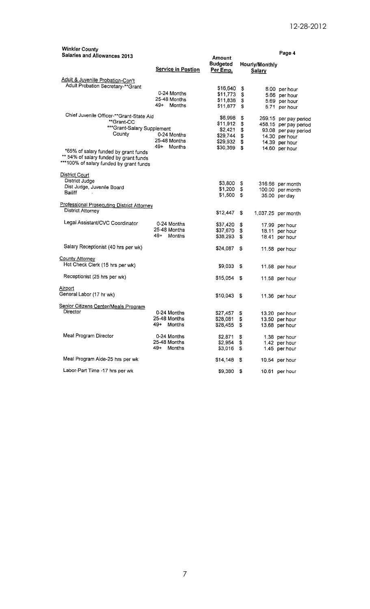| <b>Winkler County</b>                      |                           |                             |          |                       |                                  |
|--------------------------------------------|---------------------------|-----------------------------|----------|-----------------------|----------------------------------|
| Salaries and Allowances 2013               |                           | Amount                      |          |                       | Page 4                           |
|                                            |                           |                             |          | <b>Hourly/Monthly</b> |                                  |
|                                            | <b>Service in Postion</b> | <b>Budgeted</b><br>Per Emp. |          | <b>Salary</b>         |                                  |
| Adult & Juvenille Probation-Con't          |                           |                             |          |                       |                                  |
| Adult Probation Secretary-**Grant          |                           |                             |          |                       |                                  |
|                                            | 0-24 Months               | \$16,640                    | \$       |                       | 8.00 per hour                    |
|                                            |                           | \$11,773                    | \$       |                       | 5.66 per hour                    |
|                                            | 25-48 Months<br>49+       | \$11,836                    | \$       |                       | 5.69 per hour                    |
|                                            | Months                    | \$11,877                    | \$       |                       | 5.71 per hour                    |
| Chief Juvenile Officer-**Grant-State Aid   |                           | \$6,998                     | \$       |                       | 269.15 per pay period            |
| **Grant-CC                                 |                           | \$11,912                    | \$       |                       | 458.15 per pay period            |
| ***Grant-Salary Supplement                 |                           | \$2,421                     | \$       |                       | 93.08 per pay period             |
| County                                     | 0-24 Months               | \$29,744                    | \$       |                       | 14.30 per hour                   |
|                                            | 25-48 Months              | \$29,932                    | \$       |                       | 14.39 per hour                   |
|                                            | 49+ Months                | \$30,369                    | \$       |                       | 14.60 per hour                   |
| *65% of salary funded by grant funds       |                           |                             |          |                       |                                  |
| ** 54% of salary funded by grant funds     |                           |                             |          |                       |                                  |
| *** 100% of salary funded by grant funds   |                           |                             |          |                       |                                  |
| <b>District Court</b>                      |                           |                             |          |                       |                                  |
| District Judge                             |                           |                             |          |                       |                                  |
| Dist Judge, Juvenile Board                 |                           | \$3,800                     | \$       |                       | 316.66 per month                 |
| Bailiff                                    |                           | \$1,200                     | \$       |                       | 100.00 per month                 |
|                                            |                           | \$1,500                     | S        |                       | 35.00 per day                    |
| Professional Prosecuting District Attorney |                           |                             |          |                       |                                  |
| District Attorney                          |                           | \$12,447                    | S        |                       |                                  |
|                                            |                           |                             |          |                       | 1,037.25 per month               |
| Legal Assistant/CVC Coordinator            | 0-24 Months               | \$37,420                    | \$       |                       | 17.99 per hour                   |
|                                            | 25-48 Months              | \$37,670                    | \$       |                       | 18.11 per hour                   |
|                                            | 49+<br>Months             | \$38,293                    | \$       |                       | 18.41 per hour                   |
|                                            |                           |                             |          |                       |                                  |
| Salary Receptionist (40 hrs per wk)        |                           | \$24,087                    | S        |                       | 11.58 per hour                   |
| <b>County Attorney</b>                     |                           |                             |          |                       |                                  |
| Hot Check Clerk (15 hrs per wk)            |                           | \$9,033                     | \$       |                       |                                  |
|                                            |                           |                             |          |                       | 11.58 per hour                   |
| Receptionist (25 hrs per wk)               |                           | \$15,054                    | S        |                       | 11.58 per hour                   |
|                                            |                           |                             |          |                       |                                  |
| Airport                                    |                           |                             |          |                       |                                  |
| General Labor (17 hr wk)                   |                           | \$10,043                    | S        |                       | 11.36 per hour                   |
| Senior Citizens Center/Meals Program       |                           |                             |          |                       |                                  |
| Director                                   | 0-24 Months               | \$27,457                    | S        |                       | 13.20 per hour                   |
|                                            | 25-48 Months              |                             |          |                       |                                  |
|                                            | 49+<br>Months             | \$28,081<br>\$28,455        | \$<br>\$ |                       | 13.50 per hour<br>13.68 per hour |
|                                            |                           |                             |          |                       |                                  |
| Meal Program Director                      | 0-24 Months               | \$2,871                     | \$       |                       | 1.38 per hour                    |
|                                            | 25-48 Months              | \$2,954                     | \$       |                       | 1.42 per hour                    |
|                                            | 49+<br>Months             | \$3,016                     | \$       |                       | 1.45 per hour                    |
|                                            |                           |                             |          |                       |                                  |
| Meal Program Aide-25 hrs per wk            |                           | \$14,148                    | \$       |                       | 10.54 per hour                   |
| Labor-Part Time -17 hrs per wk             |                           | \$9,380                     | \$       |                       | 10.61 per hour                   |
|                                            |                           |                             |          |                       |                                  |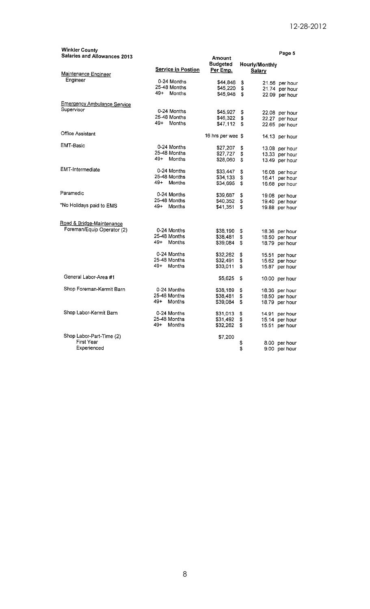| Winkler County                     |                           |                   |                       | Page 5         |
|------------------------------------|---------------------------|-------------------|-----------------------|----------------|
| Salaries and Allowances 2013       |                           | Amount            |                       |                |
|                                    |                           | <b>Budgeted</b>   | <b>Hourly/Monthly</b> |                |
|                                    | <b>Service in Postion</b> | Per Emp.          | Salary                |                |
| Maintenance Engineer               |                           |                   |                       |                |
| Engineer                           | 0-24 Months               | \$44,846          | \$                    | 21.56 per hour |
|                                    | 25-48 Months              | \$45,220          | \$                    | 21.74 per hour |
|                                    | 49+ Months                | \$45,948          | S                     | 22.09 per hour |
| <b>Emergency Ambulance Service</b> |                           |                   |                       |                |
| Supervisor                         | 0-24 Months               | \$45,927          | \$                    | 22.08 per hour |
|                                    | 25-48 Months              | \$46,322          | \$                    | 22.27 per hour |
|                                    | 49+ Months                | \$47,112          | \$                    | 22.65 per hour |
|                                    |                           |                   |                       |                |
| <b>Office Assistant</b>            |                           | 16 hrs per wee \$ |                       | 14.13 per hour |
| EMT-Basic                          | 0-24 Months               | \$27,207          | \$                    | 13.08 per hour |
|                                    | 25-48 Months              | \$27,727          | \$                    | 13.33 per hour |
|                                    | 49+ Months                | \$28,060          | \$                    | 13.49 per hour |
| EMT-Intermediate                   |                           |                   |                       |                |
|                                    | 0-24 Months               | \$33.447          | \$                    | 16.08 per hour |
|                                    | 25-48 Months              | \$34,133          | \$                    | 16.41 per hour |
|                                    | 49+ Months                | \$34,695          | \$                    | 16.68 per hour |
| Paramedic                          | 0-24 Months               | \$39,687          | \$                    | 19.08 per hour |
|                                    | 25-48 Months              | \$40,352          | \$                    | 19.40 per hour |
| *No Holidays paid to EMS           | 49+<br>Months             | \$41,351          | \$                    | 19.88 per hour |
| Road & Bridge-Maintenance          |                           |                   |                       |                |
| Foreman/Equip Operator (2)         | 0-24 Months               | \$38,190          | \$                    |                |
|                                    | 25-48 Months              | \$38,481          | \$                    | 18.36 per hour |
|                                    | $49+$<br>Months           | \$39.084          | S                     | 18.50 per hour |
|                                    |                           |                   |                       | 18.79 per hour |
|                                    | 0-24 Months               | \$32,262          | \$                    | 15.51 per hour |
|                                    | 25-48 Months              | \$32,491          | \$                    | 15.62 per hour |
|                                    | 49+<br>Months             | \$33,011          | \$                    | 15.87 per hour |
| General Labor-Area #1              |                           | \$5,625           | \$                    | 10.00 per hour |
|                                    |                           |                   |                       |                |
| Shop Foreman-Kermit Barn           | 0-24 Months               | \$38,189          | \$                    | 18.36 per hour |
|                                    | 25-48 Months              | \$38,481          | \$                    | 18.50 per hour |
|                                    | $49+$<br>Months           | \$39,084          | \$                    | 18.79 per hour |
| Shop Labor-Kermit Barn             | 0-24 Months               | \$31,013          | \$                    | 14.91 per hour |
|                                    | 25-48 Months              | \$31,492          | \$                    | 15.14 per hour |
|                                    | $49+$<br>Months           | \$32,262          | \$                    | 15.51 per hour |
| Shop Labor-Part-Time (2)           |                           | \$7,200           |                       |                |
| First Year                         |                           |                   | \$                    | 8.00 per hour  |
| Experienced                        |                           |                   | \$                    | 9.00 per hour  |
|                                    |                           |                   |                       |                |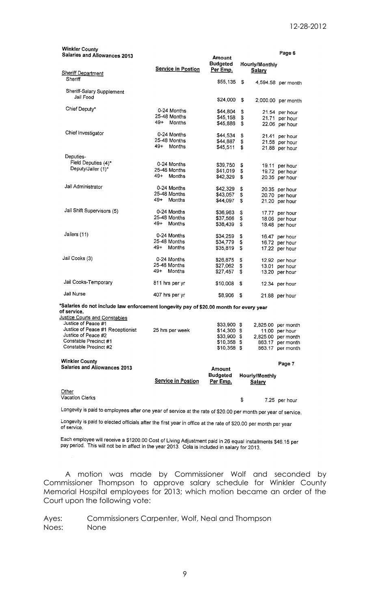| <b>Winkler County</b><br>Salaries and Allowances 2013                                  |                                 | Amount                      |                                 | Page 6                                             |
|----------------------------------------------------------------------------------------|---------------------------------|-----------------------------|---------------------------------|----------------------------------------------------|
| <b>Sheriff Department</b>                                                              | <b>Service in Postion</b>       | <b>Budgeted</b><br>Per Emp. | Hourly/Monthly<br><b>Salary</b> |                                                    |
| Sheriff                                                                                |                                 | \$55,135                    | \$                              | 4,594.58 per month                                 |
| Sheriff-Salary Supplement<br>Jail Food                                                 |                                 | \$24,000                    | \$                              | 2,000.00 per month                                 |
| Chief Deputy*                                                                          | 0-24 Months                     | \$44,804                    | \$                              |                                                    |
|                                                                                        | 25-48 Months<br>$49+$<br>Months | \$45,158<br>\$45,886        | \$<br>\$                        | 21.54 per hour<br>21.71 per hour<br>22.06 per hour |
| Chief Investigator                                                                     | 0-24 Months                     | \$44,534                    | \$                              |                                                    |
|                                                                                        | 25-48 Months                    | \$44,887                    | \$                              | 21.41 per hour<br>21.58 per hour                   |
|                                                                                        | 49+<br>Months                   | \$45,511                    | \$                              | 21.88 per hour                                     |
| Deputies-                                                                              |                                 |                             |                                 |                                                    |
| Field Deputies (4)*                                                                    | 0-24 Months                     | \$39,750                    | \$                              | 19.11 per hour                                     |
| Deputy/Jailer (1)*                                                                     | 25-48 Months                    | \$41,019                    | \$                              | 19.72 per hour                                     |
|                                                                                        | 49+<br><b>Months</b>            | \$42,329                    | \$                              | 20.35 per hour                                     |
| Jail Administrator                                                                     | 0-24 Months                     | \$42,329                    | \$                              | 20.35 per hour                                     |
|                                                                                        | 25-48 Months                    | \$43,057                    | \$                              | 20.70 per hour                                     |
|                                                                                        | 49+<br>Months                   | \$44,097                    | \$                              | 21.20 per hour                                     |
| Jail Shift Supervisors (5)                                                             | 0-24 Months                     | \$36,963                    |                                 |                                                    |
|                                                                                        | 25-48 Months                    | \$37,566                    | \$<br>\$                        | 17.77 per hour                                     |
|                                                                                        | 49+ Months                      | \$38,439                    | \$                              | 18.06 per hour<br>18.48 per hour                   |
| Jailers (11)                                                                           | 0-24 Months                     | \$34,259                    | \$                              | 16.47 per hour                                     |
|                                                                                        | 25-48 Months                    | \$34,779                    | \$                              | 16.72 per hour                                     |
|                                                                                        | 49+<br>Months                   | \$35,819                    | \$                              | 17.22 per hour                                     |
| Jail Cooks (3)                                                                         | 0-24 Months                     | \$26,875                    | \$                              | 12.92 per hour                                     |
|                                                                                        | 25-48 Months                    | \$27,062                    | \$                              | 13.01 per hour                                     |
|                                                                                        | 49+ Months                      | \$27,457                    | \$                              | 13.20 per hour                                     |
| Jail Cooks-Temporary                                                                   | 811 hrs per yr                  | \$10,008                    | \$                              | 12.34 per hour                                     |
| Jail Nurse                                                                             | 407 hrs per yr                  | \$8,906 \$                  |                                 | 21.88 per hour                                     |
| *Salaries do not include law enforcement longevity pay of \$20.00 month for every year |                                 |                             |                                 |                                                    |
| of service.<br>Justice Courts and Constables                                           |                                 |                             |                                 |                                                    |
| Justice of Peace #1                                                                    |                                 | \$33,900 \$                 |                                 | 2,825.00 per month                                 |
| Justice of Peace #1 Receptionist                                                       | 25 hrs per week                 | \$14,300 \$                 |                                 | 11.00 per hour                                     |
| Justice of Peace #2                                                                    |                                 | \$33,900 \$                 |                                 | 2,825.00 per month                                 |
| Constable Precinct #1                                                                  |                                 | $$10,358$ \$                |                                 | 863.17 per month                                   |
| Constable Precinct #2                                                                  |                                 | $$10,358$ \$                |                                 | 863.17 per month                                   |
| <b>Winkler County</b>                                                                  |                                 |                             |                                 | Page 7                                             |
| Salaries and Allowances 2013                                                           |                                 | Amount                      |                                 |                                                    |
|                                                                                        | Service in Postion              | <b>Budgeted</b><br>Per Emp. | <b>Hourly/Monthly</b><br>Salary |                                                    |
|                                                                                        |                                 |                             |                                 |                                                    |

Longevity is paid to employees after one year of service at the rate of \$20.00 per month per year of service.

\$

7.25 per hour

Longevity is paid to elected officials after the first year in office at the rate of \$20.00 per month per year of service.

Other Vacation Clerks

Each employee will receive a \$1200.00 Cost of Living Adjustment paid in 26 equal installments \$46.15 per<br>pay period. This will not be in affect in the year 2013. Cola is included in salary for 2013.

A motion was made by Commissioner Wolf and seconded by Commissioner Thompson to approve salary schedule for Winkler County Memorial Hospital employees for 2013; which motion became an order of the Court upon the following vote: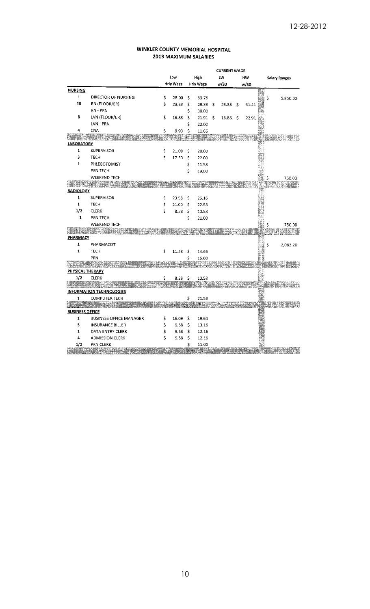# WINKLER COUNTY MEMORIAL HOSPITAL<br>2013 MAXIMUM SALARIES

|                        |                                 |    | <b>CURRENT WAGE</b> |     |                  |    |       |    |       |  |    |                      |
|------------------------|---------------------------------|----|---------------------|-----|------------------|----|-------|----|-------|--|----|----------------------|
|                        |                                 |    | Low                 |     | High             |    | LW    |    | HW    |  |    | <b>Salary Ranges</b> |
|                        |                                 |    | <b>Hrly Wage</b>    |     | <b>Hrly Wage</b> |    | w/SD  |    | w/SD  |  |    |                      |
| <b>NURSING</b>         |                                 |    |                     |     |                  |    |       |    |       |  |    |                      |
| $\mathbf{1}$           | DIRECTOR OF NURSING             | \$ | 28.00               | \$  | 33.75            |    |       |    |       |  | Ŝ  | 5,850.00             |
| 10                     | RN (FLOOR/ER)                   | Ś  | 23.33               | \$  | 29.33            | -S | 23.33 | \$ | 31.41 |  |    |                      |
|                        | RN - PRN                        |    |                     | \$  | 30.00            |    |       |    |       |  |    |                      |
| 8                      | LVN (FLOOR/ER)                  | \$ | 16.83               | \$  | 21.91            | -5 | 16.83 | S  | 22.91 |  |    |                      |
|                        | LVN - PRN                       |    |                     | Ś   | 22.00            |    |       |    |       |  |    |                      |
| 4                      | <b>CNA</b>                      | \$ | 9.93                | Ś   | 11.66            |    |       |    |       |  |    |                      |
|                        |                                 |    |                     |     |                  |    |       |    |       |  |    |                      |
| <b>LABORATORY</b>      |                                 |    |                     |     |                  |    |       |    |       |  |    |                      |
| $\mathbf{1}$           | <b>SUPERVISOR</b>               | \$ | 21.08               | \$  | 28.00            |    |       |    |       |  |    |                      |
| 3                      | <b>TECH</b>                     | Ś  | 17.50               | \$  | 22.00            |    |       |    |       |  |    |                      |
| $\mathbf{1}$           | PHLEBOTOMIST                    |    |                     | \$  | 11.58            |    |       |    |       |  |    |                      |
|                        | PRN TECH                        |    |                     | \$  | 19.00            |    |       |    |       |  |    |                      |
|                        | <b>WEEKEND TECH</b>             |    |                     |     |                  |    |       |    |       |  | \$ | 750.00               |
|                        |                                 |    |                     |     |                  |    |       |    |       |  |    |                      |
| <u>RADIOLOGY</u>       |                                 |    |                     |     |                  |    |       |    |       |  |    |                      |
| 1                      | <b>SUPERVISOR</b>               | \$ | 23.58               | \$  | 26.16            |    |       |    |       |  |    |                      |
| 1                      | <b>TECH</b>                     | Ś  | 21.00               | \$  | 22.58            |    |       |    |       |  |    |                      |
| 1/2                    | <b>CLERK</b>                    | Ś  | 8.28                | \$  | 10.58            |    |       |    |       |  |    |                      |
| $\mathbf{1}$           | PRN TECH                        |    |                     | \$  | 21.00            |    |       |    |       |  |    |                      |
|                        | WEEKEND TECH                    |    |                     |     |                  |    |       |    |       |  | Ś  | 750.00               |
|                        |                                 |    |                     |     |                  |    |       |    |       |  |    |                      |
| <u>PHARMA</u> CY       |                                 |    |                     |     |                  |    |       |    |       |  |    |                      |
| $\mathbf{1}$           | PHARMACIST                      |    |                     |     |                  |    |       |    |       |  | Ś  | 2,083.20             |
| 1                      | <b>TECH</b>                     | Ś  | 11.58               | \$  | 14.66            |    |       |    |       |  |    |                      |
|                        | PRN                             |    |                     | \$  | 16.00            |    |       |    |       |  |    |                      |
|                        |                                 |    |                     |     |                  |    |       |    |       |  |    |                      |
|                        | PHYSICAL THERAPY                |    |                     |     |                  |    |       |    |       |  |    |                      |
| 1/2                    | <b>CLERK</b>                    | \$ | 8.28                | -\$ | 10.58            |    |       |    |       |  |    |                      |
|                        |                                 |    |                     |     |                  |    |       |    |       |  |    |                      |
|                        | <b>INFORMATION TECHNOLOGIES</b> |    |                     |     |                  |    |       |    |       |  |    |                      |
| 1                      | <b>COMPUTER TECH</b>            |    |                     | \$  | 21.58            |    |       |    |       |  |    |                      |
|                        |                                 |    |                     |     |                  |    |       |    |       |  |    |                      |
| <b>BUSINESS OFFICE</b> |                                 |    |                     |     |                  |    |       |    |       |  |    |                      |
| 1                      | <b>BUSINESS OFFICE MANAGER</b>  | \$ | 16.09               | \$  | 19.64            |    |       |    |       |  |    |                      |
| 5                      | <b>INSURANCE BILLER</b>         | Ś  | 9.58                | \$  | 13.16            |    |       |    |       |  |    |                      |
| 1                      | DATA ENTRY CLERK                | Ś  | 9.58                | \$  | 12.16            |    |       |    |       |  |    |                      |
| 4                      | <b>ADMISSION CLERK</b>          | Ś  | 9.58                | \$  | 12.16            |    |       |    |       |  |    |                      |
| 1/2                    | <b>PRN CLERK</b>                |    |                     | Ś   | 11.00            |    |       |    |       |  |    |                      |

e tampé par la production de la companyation de la companyation de la companyation de la companyation de la co<br>La companyation de la companyation de la companyation de la companyation de la companyation de la companyation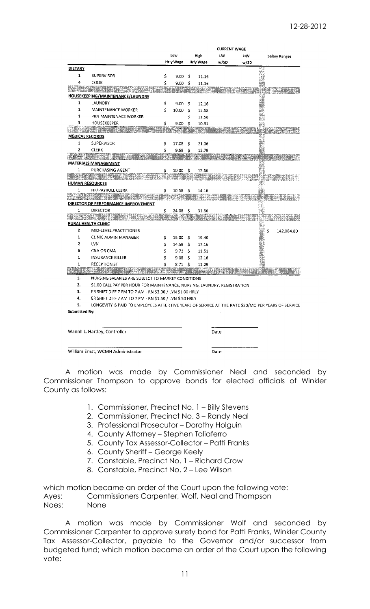|                        |                                                                                                     |     |                    |     |           | <b>CURRENT WAGE</b> |      |                      |
|------------------------|-----------------------------------------------------------------------------------------------------|-----|--------------------|-----|-----------|---------------------|------|----------------------|
|                        |                                                                                                     |     | Low                |     | High      | LW                  | HW   | <b>Salary Ranges</b> |
|                        |                                                                                                     |     | <b>Hrly Wage</b>   |     | Hrly Wage | w/SD                | w/SD |                      |
| <b>DIETARY</b>         |                                                                                                     |     |                    |     |           |                     |      |                      |
| 1                      | <b>SUPERVISOR</b>                                                                                   | \$  | 9.00               | \$  | 11.16     |                     |      |                      |
| 4                      | COOK                                                                                                | Ś   | 9.00               | -\$ | 11.16     |                     |      |                      |
|                        |                                                                                                     |     |                    |     |           |                     |      |                      |
|                        | HOUSEKEEPING/MAINTENANCE/LAUNDRY                                                                    |     |                    |     |           |                     |      |                      |
| 1                      | LAUNDRY                                                                                             | \$  | 9.00               | \$  | 12.16     |                     |      |                      |
| 1                      | MAINTENANCE WORKER                                                                                  | \$. | 10.00              | \$  | 12.58     |                     |      |                      |
| 1                      | PRN MAINTENACE WORKER                                                                               |     |                    | Ś   | 11.58     |                     |      |                      |
| 3                      | <b>HOUSEKEEPER</b>                                                                                  | \$  | 9.00               | Ś   | 10.91     |                     |      |                      |
|                        |                                                                                                     |     |                    |     |           |                     |      |                      |
| <b>MEDICAL RECORDS</b> |                                                                                                     |     |                    |     |           |                     |      |                      |
| 1                      | <b>SUPERVISOR</b>                                                                                   | \$  | 17.08              | \$  | 21.06     |                     |      |                      |
| 2                      | <b>CLERK</b>                                                                                        | Ś   | 9.58               | S   | 12.79     |                     |      |                      |
|                        |                                                                                                     |     |                    |     |           |                     |      |                      |
|                        | <b>MATERIALS MANAGEMENT</b>                                                                         |     |                    |     |           |                     |      |                      |
| $\mathbf{1}$           | PURCHASING AGENT                                                                                    | \$  | 10.00              | - Ś | 12.66     |                     |      |                      |
|                        | XW SPOZ                                                                                             |     |                    |     |           |                     |      |                      |
| <b>HUMAN RESOURCES</b> |                                                                                                     |     |                    |     |           |                     |      |                      |
| 1                      | HR/PAYROLL CLERK                                                                                    | \$  | 10.58 <sub>5</sub> |     | 14.16     |                     |      |                      |
|                        |                                                                                                     |     |                    |     |           |                     |      |                      |
|                        | <b>DIRECTOR OF PERFORMANCE IMPROVEMENT</b>                                                          |     |                    |     |           |                     |      |                      |
| 1                      | DIRECTOR                                                                                            | \$  | 24.08              | Ś   | 31.66     |                     |      |                      |
|                        |                                                                                                     |     |                    |     |           |                     |      |                      |
|                        | <b>RURAL HEALTH CLINIC</b>                                                                          |     |                    |     |           |                     |      |                      |
| 2                      | MID-LEVEL PRACTITIONER                                                                              |     |                    |     |           |                     |      | Ś<br>142,084.80      |
| $\mathbf{1}$           | CLINIC ADMIN MANAGER                                                                                | \$  | 15.00              | \$  | 19.40     |                     |      |                      |
| 2                      | LVN                                                                                                 | \$  | 14.58              | Ŝ   | 17.16     |                     |      |                      |
| 6                      | CNA OR CMA                                                                                          | \$  | 9.71               | \$  | 11.51     |                     |      |                      |
| $\mathbf{1}$           | <b>INSURANCE BILLER</b>                                                                             | \$  | 9.08               | 5   | 12.16     |                     |      |                      |
| $\mathbf{1}$           | <b>RECEPTIONIST</b>                                                                                 | Ś   | 8.71               | Ś   | 11.29     |                     |      |                      |
|                        |                                                                                                     |     |                    |     |           |                     |      |                      |
| 1.                     | NURSING SALARIES ARE SUBJECT TO MARKET CONDITIONS                                                   |     |                    |     |           |                     |      |                      |
| 2.                     | \$1.00 CALL PAY PER HOUR FOR MAINTENANCE, NURSING, LAUNDRY, REGISTRATION                            |     |                    |     |           |                     |      |                      |
| 3.                     | ER SHIFT DIFF 7 PM TO 7 AM - RN \$3.00 / LVN \$1.00 HRLY                                            |     |                    |     |           |                     |      |                      |
| 4.                     | ER SHIFT DIFF 7 AM TO 7 PM - RN \$1.50 / LVN \$.50 HRLY                                             |     |                    |     |           |                     |      |                      |
| 5.                     | LONGEVITY IS PAID TO EMPLOYEES AFTER FIVE YEARS OF SERVICE AT THE RATE \$20/MO PER YEARS OF SERVICE |     |                    |     |           |                     |      |                      |
| Submitted Bv:          |                                                                                                     |     |                    |     |           |                     |      |                      |
|                        |                                                                                                     |     |                    |     |           |                     |      |                      |

Wannh L. Hartley, Controller

William Ernst, WCMH Administrator

Date

Date

A motion was made by Commissioner Neal and seconded by Commissioner Thompson to approve bonds for elected officials of Winkler County as follows:

- 1. Commissioner, Precinct No. 1 Billy Stevens
- 2. Commissioner, Precinct No. 3 Randy Neal
- 3. Professional Prosecutor Dorothy Holguin
- 4. County Attorney Stephen Taliaferro
- 5. County Tax Assessor-Collector Patti Franks
- 6. County Sheriff George Keely
- 7. Constable, Precinct No. 1 Richard Crow
- 8. Constable, Precinct No. 2 Lee Wilson

which motion became an order of the Court upon the following vote:

Ayes: Commissioners Carpenter, Wolf, Neal and Thompson Noes: None

A motion was made by Commissioner Wolf and seconded by Commissioner Carpenter to approve surety bond for Patti Franks, Winkler County Tax Assessor-Collector, payable to the Governor and/or successor from budgeted fund; which motion became an order of the Court upon the following vote: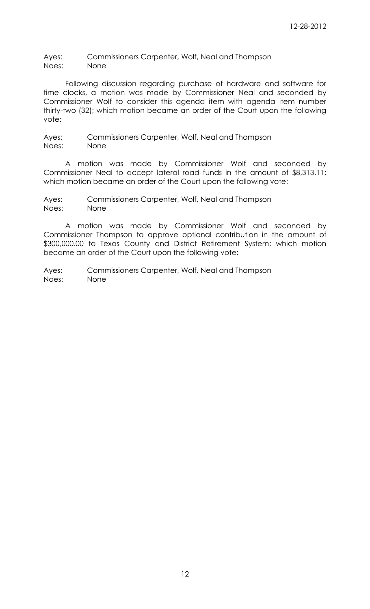Ayes: Commissioners Carpenter, Wolf, Neal and Thompson Noes: None

Following discussion regarding purchase of hardware and software for time clocks, a motion was made by Commissioner Neal and seconded by Commissioner Wolf to consider this agenda item with agenda item number thirty-two (32); which motion became an order of the Court upon the following vote:

Ayes: Commissioners Carpenter, Wolf, Neal and Thompson Noes: None

A motion was made by Commissioner Wolf and seconded by Commissioner Neal to accept lateral road funds in the amount of \$8,313.11; which motion became an order of the Court upon the following vote:

Ayes: Commissioners Carpenter, Wolf, Neal and Thompson Noes: None

A motion was made by Commissioner Wolf and seconded by Commissioner Thompson to approve optional contribution in the amount of \$300,000.00 to Texas County and District Retirement System; which motion became an order of the Court upon the following vote: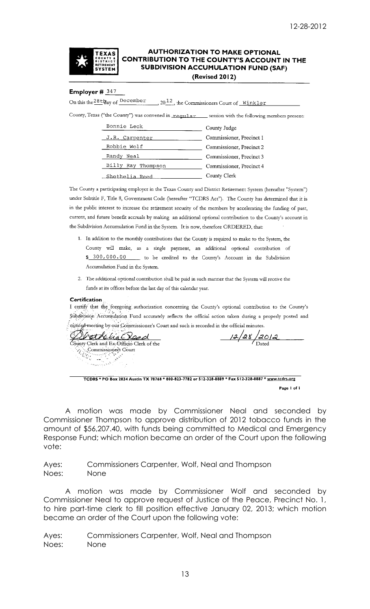

## **AUTHORIZATION TO MAKE OPTIONAL CONTRIBUTION TO THE COUNTY'S ACCOUNT IN THE SUBDIVISION ACCUMULATION FUND (SAF) (Revised 2012)**

### **Employer #**  $347$

On this the 28thay of December  $\sim$ , 20 $\frac{12}{\cdot}$ , the Commissioners Court of Winkler

County, Texas ("the County") was convened in regular session with the following members present:

| Bonnie Leck        | County Judge             |  |  |  |
|--------------------|--------------------------|--|--|--|
| J.R. Carpenter     | Commissioner, Precinct 1 |  |  |  |
| Robbie Wolf        | Commissioner, Precinct 2 |  |  |  |
| Randy Neal         | Commissioner, Precinct 3 |  |  |  |
| Billy Ray Thompson | Commissioner, Precinct 4 |  |  |  |
| Shethelia Reed.    | County Clerk             |  |  |  |

The County a participating employer in the Texas County and District Retirement System (hereafter "System") under Subtitle F, Title 8, Government Code (hereafter "TCDRS Act"). The County has determined that it is in the public interest to increase the retirement security of the members by accelerating the funding of past, current, and future benefit accruals by making an additional optional contribution to the County's account in the Subdivision Accumulation Fund in the System. It is now, therefore ORDERED, that:

- 1. In addition to the monthly contributions that the County is required to make to the System, the County will make, as a single payment, an additional optional contribution of \$ 300,000.00 to be credited to the County's Account in the Subdivision Accumulation Fund in the System.
- 2. The additional optional contribution shall be paid in such manner that the System will receive the funds at its offices before the last day of this calendar year.

#### **Certification**

I certify that the foregoing authorization concerning the County's optional contribution to the County's Subdivision Accumulation Fund accurately reflects the official action taken during a properly posted and noticed meeting by our Commissioner's Court and such is recorded in the official minutes.

<u>12/28/2012</u> rethelia Reed ounty Clerk and Ex-Officio Clerk of the Commissioners Court  $\mathcal{L}_{\mathbb{C}}$ المعلم المعاملة<br>منابعة en en hele<br>Sterfte

TCDRS \* PO Box 2034 Austin TX 78768 \* 800-823-7782 or 512-328-8889 \* Fax 512-328-8887 \* www.tcdrs.org Page I of I

A motion was made by Commissioner Neal and seconded by Commissioner Thompson to approve distribution of 2012 tobacco funds in the amount of \$56,207.40, with funds being committed to Medical and Emergency Response Fund; which motion became an order of the Court upon the following vote:

Ayes: Commissioners Carpenter, Wolf, Neal and Thompson Noes: None

A motion was made by Commissioner Wolf and seconded by Commissioner Neal to approve request of Justice of the Peace, Precinct No. 1, to hire part-time clerk to fill position effective January 02, 2013; which motion became an order of the Court upon the following vote: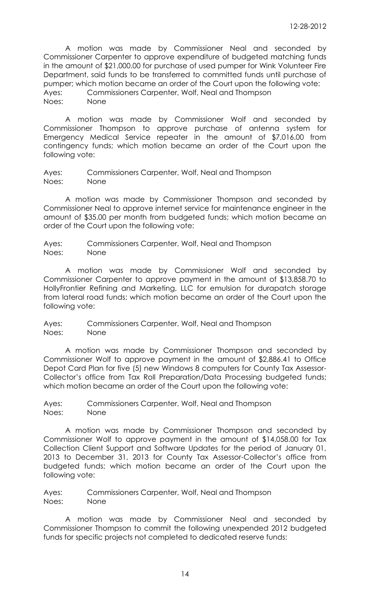A motion was made by Commissioner Neal and seconded by Commissioner Carpenter to approve expenditure of budgeted matching funds in the amount of \$21,000.00 for purchase of used pumper for Wink Volunteer Fire Department, said funds to be transferred to committed funds until purchase of pumper; which motion became an order of the Court upon the following vote: Ayes: Commissioners Carpenter, Wolf, Neal and Thompson Noes: None

A motion was made by Commissioner Wolf and seconded by Commissioner Thompson to approve purchase of antenna system for Emergency Medical Service repeater in the amount of \$7,016.00 from contingency funds; which motion became an order of the Court upon the following vote:

Ayes: Commissioners Carpenter, Wolf, Neal and Thompson Noes: None

A motion was made by Commissioner Thompson and seconded by Commissioner Neal to approve internet service for maintenance engineer in the amount of \$35.00 per month from budgeted funds; which motion became an order of the Court upon the following vote:

Ayes: Commissioners Carpenter, Wolf, Neal and Thompson Noes: None

A motion was made by Commissioner Wolf and seconded by Commissioner Carpenter to approve payment in the amount of \$13,858.70 to HollyFrontier Refining and Marketing, LLC for emulsion for durapatch storage from lateral road funds; which motion became an order of the Court upon the following vote:

Ayes: Commissioners Carpenter, Wolf, Neal and Thompson Noes: None

A motion was made by Commissioner Thompson and seconded by Commissioner Wolf to approve payment in the amount of \$2,886.41 to Office Depot Card Plan for five (5) new Windows 8 computers for County Tax Assessor-Collector's office from Tax Roll Preparation/Data Processing budgeted funds; which motion became an order of the Court upon the following vote:

Ayes: Commissioners Carpenter, Wolf, Neal and Thompson Noes: None

A motion was made by Commissioner Thompson and seconded by Commissioner Wolf to approve payment in the amount of \$14,058.00 for Tax Collection Client Support and Software Updates for the period of January 01, 2013 to December 31, 2013 for County Tax Assessor-Collector's office from budgeted funds; which motion became an order of the Court upon the following vote:

Ayes: Commissioners Carpenter, Wolf, Neal and Thompson Noes: None

A motion was made by Commissioner Neal and seconded by Commissioner Thompson to commit the following unexpended 2012 budgeted funds for specific projects not completed to dedicated reserve funds: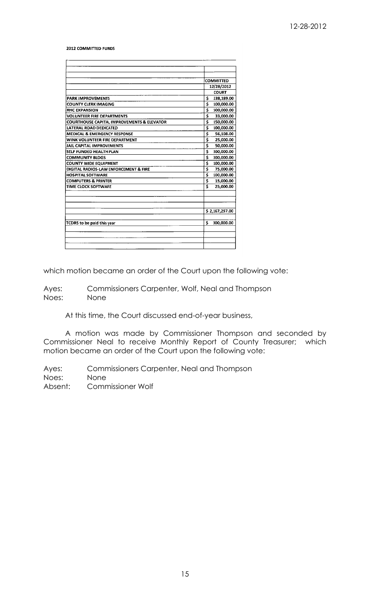#### 2012 COMMITTED FUNDS

|                                                       | <b>COMMITTED</b>                     |
|-------------------------------------------------------|--------------------------------------|
|                                                       | 12/28/2012                           |
|                                                       | <b>COURT</b>                         |
| <b>PARK IMPROVEMENTS</b>                              | \$<br>238,189.00                     |
| <b>COUNTY CLERK IMAGING</b>                           | \$<br>100,000.00                     |
| <b>RHC EXPANSION</b>                                  | Ś<br>500,000.00                      |
| <b>VOLUNTEER FIRE DEPARTMENTS</b>                     | Ś<br>33,000.00                       |
| <b>COURTHOUSE CAPITAL IMPROVEMENTS &amp; ELEVATOR</b> | Ś<br>150,000.00                      |
| LATERAL ROAD DEDICATED                                | \$<br>100,000.00                     |
| <b>MEDICAL &amp; EMERGENCY RESPONSE</b>               | \$<br>56,108.00                      |
| WINK VOLUNTEER FIRE DEPARTMENT                        | Ś<br>25,000.00                       |
| JAIL CAPITAL IMPROVEMENTS                             | $\overline{\mathsf{s}}$<br>50,000.00 |
| <b>ISELF FUNDED HEALTH PLAN</b>                       | \$<br>300,000.00                     |
| <b>COMMUNITY BLDGS</b>                                | Ś<br>300,000.00                      |
| <b>COUNTY WIDE EQUIPMENT</b>                          | Ś<br>100,000.00                      |
| DIGITAL RADIOS-LAW ENFORCEMENT & FIRE                 | \$<br>75,000.00                      |
| <b>HOSPITAL SOFTWARE</b>                              | Ś<br>100,000.00                      |
| <b>COMPUTERS &amp; PRINTER</b>                        | \$<br>15,000.00                      |
| <b>TIME CLOCK SOFTWARE</b>                            | ś<br>25,000.00                       |
|                                                       |                                      |
|                                                       |                                      |
|                                                       |                                      |
|                                                       | \$2,167,297.00                       |
|                                                       |                                      |
| TCDRS to be paid this year                            | 300,000.00<br>\$                     |
|                                                       |                                      |
|                                                       |                                      |
|                                                       |                                      |
|                                                       |                                      |
|                                                       |                                      |

which motion became an order of the Court upon the following vote:

Ayes: Commissioners Carpenter, Wolf, Neal and Thompson Noes: None

At this time, the Court discussed end-of-year business,

A motion was made by Commissioner Thompson and seconded by Commissioner Neal to receive Monthly Report of County Treasurer; which motion became an order of the Court upon the following vote:

Ayes: Commissioners Carpenter, Neal and Thompson Noes: None Absent: Commissioner Wolf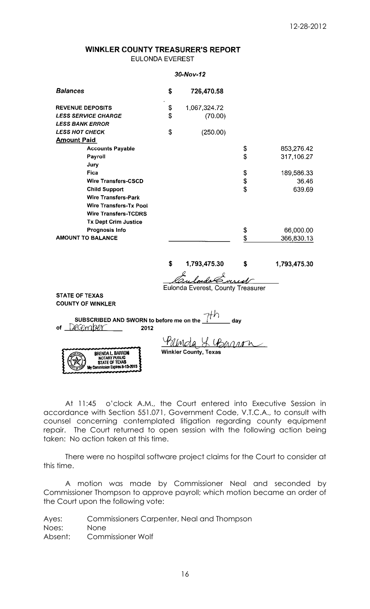# **WINKLER COUNTY TREASURER'S REPORT** EULONDA EVEREST

#### $30 - Nov - 12$

| <b>Balances</b>               | \$ | 726,470.58   |                    |
|-------------------------------|----|--------------|--------------------|
| <b>REVENUE DEPOSITS</b>       | \$ | 1,067,324.72 |                    |
| <b>LESS SERVICE CHARGE</b>    | \$ | (70.00)      |                    |
| <b>LESS BANK ERROR</b>        |    |              |                    |
| <b>LESS HOT CHECK</b>         | \$ | (250.00)     |                    |
| <b>Amount Paid</b>            |    |              |                    |
| <b>Accounts Payable</b>       |    |              | \$<br>853,276.42   |
| Payroll                       |    |              | \$<br>317,106.27   |
| Jury                          |    |              |                    |
| Fica                          |    |              | \$<br>189,586.33   |
| <b>Wire Transfers-CSCD</b>    |    |              | \$<br>36.46        |
| <b>Child Support</b>          |    |              | \$<br>639.69       |
| <b>Wire Transfers-Park</b>    |    |              |                    |
| <b>Wire Transfers-Tx Pool</b> |    |              |                    |
| <b>Wire Transfers-TCDRS</b>   |    |              |                    |
| <b>Tx Dept Crim Justice</b>   |    |              |                    |
| <b>Prognosis Info</b>         |    |              | \$<br>66,000.00    |
| <b>AMOUNT TO BALANCE</b>      |    |              | \$<br>366,830.13   |
|                               | S  | 1,793,475.30 | \$<br>1,793,475.30 |

londs orrest

Eulonda Everest, County Treasurer

**STATE OF TEXAS COUNTY OF WINKLER** 

> BRENDA L. BARRON<br>NOTARY PUBLIC<br>STATE OF TEXAS nicold Correct Communication

m

SUBSCRIBED AND SWORN to before me on the  $\frac{\gamma+\hbar}{\sqrt{\frac{2\hbar^2}{c^2}}}$  $\overline{\phantom{a}}$  day of December 2012

<u>Pollmola</u> & Barram

At 11:45 o'clock A.M., the Court entered into Executive Session in accordance with Section 551.071, Government Code, V.T.C.A., to consult with counsel concerning contemplated litigation regarding county equipment repair. The Court returned to open session with the following action being taken: No action taken at this time.

There were no hospital software project claims for the Court to consider at this time.

A motion was made by Commissioner Neal and seconded by Commissioner Thompson to approve payroll; which motion became an order of the Court upon the following vote:

Ayes: Commissioners Carpenter, Neal and Thompson Noes: None Absent: Commissioner Wolf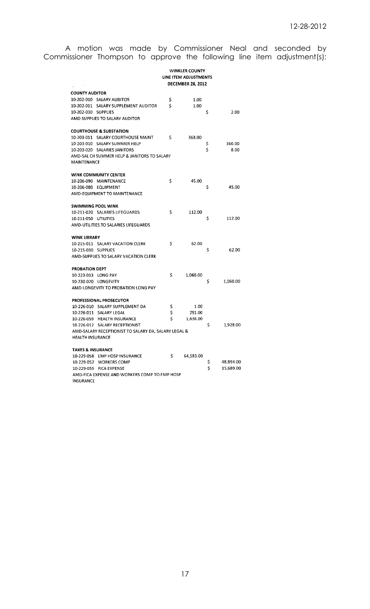A motion was made by Commissioner Neal and seconded by Commissioner Thompson to approve the following line item adjustment(s):

|                              |                                                      |     | <b>WINKLER COUNTY</b><br>LINE ITEM ADJUSTMENTS<br><b>DECEMBER 28, 2012</b> |     |           |
|------------------------------|------------------------------------------------------|-----|----------------------------------------------------------------------------|-----|-----------|
| <b>COUNTY AUDITOR</b>        |                                                      |     |                                                                            |     |           |
|                              | 10-202-010 SALARY AUDITOR                            | \$  | 1.00                                                                       |     |           |
|                              | 10-202-011 SALARY SUPPLEMENT AUDITOR                 | Ś   | 1.00                                                                       |     |           |
| 10-202-030 SUPPLIES          |                                                      |     |                                                                            | \$  | 2.00      |
|                              | AMD-SUPPLIES TO SALARY AUDITOR                       |     |                                                                            |     |           |
|                              | <b>COURTHOUSE &amp; SUBSTATION</b>                   |     |                                                                            |     |           |
|                              | 10-203-011 SALARY COURTHOUSE MAINT                   | \$  | 368.00                                                                     |     |           |
|                              | 10-203-010 SALARY SUMMER HELP                        |     |                                                                            | Ş   | 360.00    |
|                              | 10-203-020 SALARIES JANITORS                         |     |                                                                            | \$  | 8.00      |
| MAINTENANCE                  | AMD-SAL CH SUMMER HELP & JANITORS TO SALARY          |     |                                                                            |     |           |
|                              | WINK COMMUNITY CENTER                                |     |                                                                            |     |           |
|                              | 10-206-090 MAINTENANCE                               | \$  | 45.00                                                                      |     |           |
|                              | 10-206-080 EQUIPMENT                                 |     |                                                                            | \$  | 45.00     |
|                              | AMD-EQUIPMENT TO MAINTENANCE                         |     |                                                                            |     |           |
| <b>SWIMMING POOL WINK</b>    |                                                      |     |                                                                            |     |           |
|                              | 10-211-020 SALARIES LIFEGUARDS                       | \$  | 112.00                                                                     |     |           |
| 10-211-050 UTILITIES         |                                                      |     |                                                                            | \$  | 112.00    |
|                              | AMD-UTILITIES TO SALARIES LIFEGUARDS                 |     |                                                                            |     |           |
| <b>WINK LIBRARY</b>          |                                                      |     |                                                                            |     |           |
|                              | 10-215-011 SALARY VACATION CLERK                     | Ś   | 62.00                                                                      |     |           |
| 10-215-030 SUPPLIES          |                                                      |     |                                                                            | \$  | 62.00     |
|                              | AMD-SUPPLIES TO SALARY VACATION CLERK                |     |                                                                            |     |           |
| <b>PROBATION DEPT</b>        |                                                      |     |                                                                            |     |           |
| 10-223-013 LONG PAY          |                                                      | \$  | 1,060.00                                                                   |     |           |
|                              | 10-230-020 LONGEVITY                                 |     |                                                                            | \$  | 1,060.00  |
|                              | AMD-LONGEVITY TO PROBATION LONG PAY                  |     |                                                                            |     |           |
|                              | PROFESSIONAL PROSECUTOR                              |     |                                                                            |     |           |
|                              | 10-226-010 SALARY SUPPLEMENT DA                      | \$  | 1.00                                                                       |     |           |
|                              | 10-226-011 SALARY LEGAL                              | \$  | 291.00                                                                     |     |           |
|                              | 10-226-059 HEALTH INSURANCE                          | \$  | 1,636.00                                                                   |     |           |
|                              | 10-226-012 SALARY RECEPTIONIST                       |     |                                                                            | \$  | 1,928.00  |
|                              | AMD-SALARY RECEPTIONIST TO SALARY DA, SALARY LEGAL & |     |                                                                            |     |           |
| HEALTH INSURANCE             |                                                      |     |                                                                            |     |           |
| <b>TAXES &amp; INSURANCE</b> |                                                      |     |                                                                            |     |           |
|                              | 10-229-058 EMP HOSP INSURANCE                        | \$. | 64,583.00                                                                  |     |           |
|                              | 10-229-052 WORKERS COMP                              |     |                                                                            | \$. | 48,894.00 |
|                              | 10-229-055 FICA EXPENSE                              |     |                                                                            | \$  | 15,689.00 |
| INSURANCE                    | AMD-FICA EXPENSE AND WORKERS COMP TO EMP HOSP        |     |                                                                            |     |           |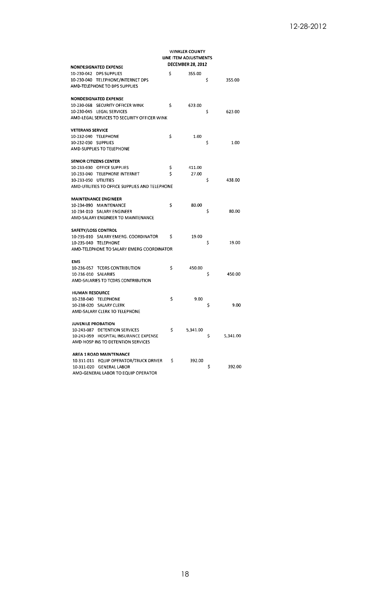|                           |                                                |    | WINKLER COUNTY                                    |    |          |
|---------------------------|------------------------------------------------|----|---------------------------------------------------|----|----------|
|                           |                                                |    | LINE ITEM ADJUSTMENTS<br><b>DECEMBER 28, 2012</b> |    |          |
|                           | <b>NONDESIGNATED EXPENSE</b>                   |    |                                                   |    |          |
|                           | 10-230-042 DPS SUPPLIES                        | \$ | 355.00                                            |    |          |
|                           | 10-230-040 TELEPHONE/INTERNET DPS              |    |                                                   | \$ | 355.00   |
|                           | AMD-TELEPHONE TO DPS SUPPLIES                  |    |                                                   |    |          |
|                           | NONDESIGNATED EXPENSE                          |    |                                                   |    |          |
|                           | 10-230-068 SECURITY OFFICER WINK               | \$ | 623.00                                            |    |          |
|                           | 10-230-045 LEGAL SERVICES                      |    |                                                   | \$ | 623.00   |
|                           | AMD-LEGAL SERVICES TO SECURITY OFFICER WINK    |    |                                                   |    |          |
| <b>VETERANS SERVICE</b>   |                                                |    |                                                   |    |          |
| 10-232-040 TELEPHONE      |                                                | \$ | 1.00                                              |    |          |
| 10-232-030 SUPPLIES       |                                                |    |                                                   | \$ | 1.00     |
|                           | AMD-SUPPLIES TO TELEPHONE                      |    |                                                   |    |          |
|                           | SENIOR CITIZENS CENTER                         |    |                                                   |    |          |
|                           | 10-233-030 OFFICE SUPPLIES                     | Ş  | 411.00                                            |    |          |
|                           | 10-233-040 TELEPHONE INTERNET                  | Ś  | 27.00                                             |    |          |
| 10-233-050 UTILITIES      |                                                |    |                                                   | \$ | 438.00   |
|                           | AMD-UTILITIES TO OFFICE SUPPLIES AND TELEPHONE |    |                                                   |    |          |
|                           | <b>MAINTENANCE ENGINEER</b>                    |    |                                                   |    |          |
|                           | 10-234-090 MAINTENANCE                         | S  | 80.00                                             |    |          |
|                           | 10-234-010 SALARY ENGINEER                     |    |                                                   | \$ | 80.00    |
|                           | AMD-SALARY ENGINEER TO MAINTENANCE             |    |                                                   |    |          |
| SAFETY/LOSS CONTROL       |                                                |    |                                                   |    |          |
|                           | 10-235-010 SALARY EMERG. COORDINATOR           | \$ | 19.00                                             |    |          |
|                           | 10-235-040 TELEPHONE                           |    |                                                   | \$ | 19.00    |
|                           | AMD-TELEPHONE TO SALARY EMERG COORDINATOR      |    |                                                   |    |          |
| <b>EMS</b>                |                                                |    |                                                   |    |          |
|                           | 10-236-057 TCDRS CONTRIBUTION                  | \$ | 450.00                                            |    |          |
| 10-236-010 SALARIES       |                                                |    |                                                   | \$ | 450.00   |
|                           | AMD-SALARIES TO TCDRS CONTRIBUTION             |    |                                                   |    |          |
| <b>HUMAN RESOURCE</b>     |                                                |    |                                                   |    |          |
|                           | 10-238-040 TELEPHONE                           | \$ | 9.00                                              |    |          |
|                           | 10-238-020 SALARY CLERK                        |    |                                                   | Ş  | 9.00     |
|                           | AMD-SALARY CLERK TO TELEPHONE                  |    |                                                   |    |          |
| <b>JUVENILE PROBATION</b> |                                                |    |                                                   |    |          |
|                           | 10-243-087 DETENTION SERVICES                  | \$ | 5.341.00                                          |    |          |
|                           | 10-243-059 HOSPITAL INSURANCE EXPENSE          |    |                                                   | \$ | 5,341.00 |
|                           | AMD-HOSP INS TO DETENTION SERVICES             |    |                                                   |    |          |
|                           | <b>AREA 1 ROAD MAINTENANCE</b>                 |    |                                                   |    |          |
|                           | 10-311-011 EQUIP OPERATOR/TRUCK DRIVER         | Ś. | 392.00                                            |    |          |
|                           | 10-311-020 GENERAL LABOR                       |    |                                                   | \$ | 392.00   |
|                           | AMD-GENERAL LABOR TO EQUIP OPERATOR            |    |                                                   |    |          |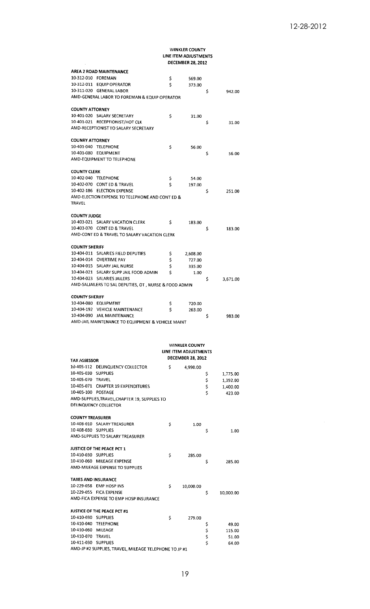#### **WINKLER COUNTY** LINE ITEM ADJUSTMENTS DECEMBER 28, 2012

|                                                         |    | <b>DECEMBER 28, 2012</b> |    |          |
|---------------------------------------------------------|----|--------------------------|----|----------|
| AREA 2 ROAD MAINTENANCE                                 |    |                          |    |          |
|                                                         |    |                          |    |          |
| 10-312-010 FOREMAN                                      | \$ | 569.00                   |    |          |
| 10-312-011 EQUIP OPERATOR                               | \$ | 373.00                   |    |          |
| 10-311-020 GENERAL LABOR                                |    |                          | \$ | 942.00   |
| AMD-GENERAL LABOR TO FOREMAN & EQUIP OPERATOR           |    |                          |    |          |
|                                                         |    |                          |    |          |
| <b>COUNTY ATTORNEY</b>                                  |    |                          |    |          |
| 10-401-020 SALARY SECRETARY                             | \$ | 31.00                    |    |          |
| 10-401-021 RECEPTIONIST/HOT CLK                         |    |                          | \$ | 31.00    |
| AMD-RECEPTIONIST TO SALARY SECRETARY                    |    |                          |    |          |
|                                                         |    |                          |    |          |
| <b>COUNRY ATTORNEY</b>                                  |    |                          |    |          |
| 10-401-040 TELEPHONE                                    |    | 56.00                    |    |          |
|                                                         | \$ |                          |    |          |
| 10-401-080 EQUIPMENT                                    |    |                          | \$ | 56.00    |
| AMD-EQUIPMENT TO TELEPHONE                              |    |                          |    |          |
|                                                         |    |                          |    |          |
| <b>COUNTY CLERK</b>                                     |    |                          |    |          |
| 10-402-040 TELEPHONE                                    | Ş  | 54.00                    |    |          |
| 10-402-070 CONT ED & TRAVEL                             | \$ | 197.00                   |    |          |
| 10-402-186 ELECTION EXPENSE                             |    |                          | \$ | 251.00   |
| AMD-ELECTION EXPENSE TO TELEPHONE AND CONT ED &         |    |                          |    |          |
| <b>TRAVEL</b>                                           |    |                          |    |          |
|                                                         |    |                          |    |          |
| <b>COUNTY JUDGE</b>                                     |    |                          |    |          |
| 10-403-021 SALARY VACATION CLERK                        | \$ | 183.00                   |    |          |
| 10-403-070 CONT ED & TRAVEL                             |    |                          | \$ | 183.00   |
| AMD-CONT ED & TRAVEL TO SALARY VACATION CLERK           |    |                          |    |          |
|                                                         |    |                          |    |          |
| <b>COUNTY SHERIFF</b>                                   |    |                          |    |          |
| 10-404-011 SALARIES FIELD DEPUTIES                      |    |                          |    |          |
|                                                         | Ş  | 2,608.00                 |    |          |
| 10-404-014 OVERTIME PAY                                 | \$ | 727.00                   |    |          |
| 10-404-015 SALARY JAIL NURSE                            | \$ | 335.00                   |    |          |
| 10-404-021 SALARY SUPP JAIL FOOD ADMIN                  | Ś  | 1.00                     |    |          |
| 10-404-023 SALARIES JAILERS                             |    |                          | \$ | 3,671.00 |
| AMD-SALJAILERS TO SAL DEPUTIES, OT , NURSE & FOOD ADMIN |    |                          |    |          |
|                                                         |    |                          |    |          |
| <b>COUNTY SHERIFF</b>                                   |    |                          |    |          |
| 10-404-080 EQUIPMENT                                    | \$ | 720.00                   |    |          |
| 10-404-192 VEHICLE MAINTENANCE                          | Ś  | 263.00                   |    |          |
| 10-404-090 JAIL MAINTENANCE                             |    |                          | \$ | 983.00   |
| AMD-JAIL MAINTENANCE TO EQUIPMENT & VEHICLE MAINT       |    |                          |    |          |
|                                                         |    |                          |    |          |
|                                                         |    |                          |    |          |
|                                                         |    |                          |    |          |
|                                                         |    | <b>WINKLER COUNTY</b>    |    |          |
|                                                         |    | LINE ITEM ADJUSTMENTS    |    |          |
| <b>TAX ASSESSOR</b>                                     |    | <b>DECEMBER 28, 2012</b> |    |          |
| 10-405-112 DELINQUENCY COLLECTOR                        | Ŝ  | 4,990.00                 |    |          |
| 10-405-030 SUPPLIES                                     |    |                          | Ş  | 1,775.00 |
| 10-405-070 TRAVEL                                       |    |                          |    |          |
|                                                         |    |                          | \$ | 1,392.00 |
| 10-405-071 CHAPTER 19 EXPENDITURES                      |    |                          | \$ | 1,400.00 |
| 10-405-100 POSTAGE                                      |    |                          | \$ | 423.00   |
| AMD-SUPPLIES, TRAVEL, CHAPTER 19, SUPPLIES TO           |    |                          |    |          |
| DELINQUENCY COLLECTOR                                   |    |                          |    |          |
|                                                         |    |                          |    |          |
| <b>COUNTY TREASURER</b>                                 |    |                          |    |          |
| 10-408-010 SALARY TREASURER                             | \$ | 1.00                     |    |          |
| 10-408-030 SUPPLIES                                     |    |                          | \$ | 1.00     |
| AMD-SUPPLIES TO SALARY TREASURER                        |    |                          |    |          |
|                                                         |    |                          |    |          |
| JUSTICE OF THE PEACE PCT 1                              |    |                          |    |          |
| 10-410-030 SUPPLIES                                     | \$ | 285.00                   |    |          |
|                                                         |    |                          |    |          |
| 10-410-060 MILEAGE EXPENSE                              |    |                          | \$ | 285.00   |

|                                           | AMD-MILEAGE EXPENSE TO SUPPLIES                                                              |    |           |        |
|-------------------------------------------|----------------------------------------------------------------------------------------------|----|-----------|--------|
| <b>TAXES AND INSURANCE</b>                | 10-229-058 EMP HOSP INS<br>10-229-055 FICA EXPENSE<br>AMD-FICA EXPENSE TO EMP HOSP INSURANCE | S  | 10,000.00 | \$     |
| 10-410-030 SUPPLIES<br>10-410-060 MILEAGE | JUSTICE OF THE PEACE PCT #1<br>10-410-040 TFLFPHONE                                          | \$ | 279.00    | Ś<br>S |
| 10-410-070 TRAVEL                         |                                                                                              |    |           | ς      |

AMD-JP #2 SUPPLIES, TRAVEL, MILEAGE TELEPHONE TO JP #1

10-411-030 SUPPLIES

 $\ddot{\hat{\mathbf{s}}}$ 

10,000.00

49.00

115.00

51.00

64.00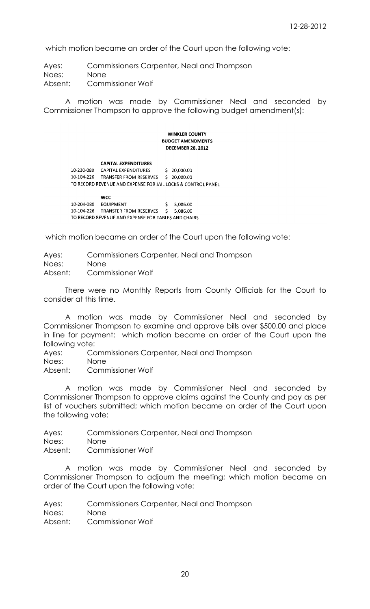which motion became an order of the Court upon the following vote:

Ayes: Commissioners Carpenter, Neal and Thompson Noes: None Absent: Commissioner Wolf

A motion was made by Commissioner Neal and seconded by Commissioner Thompson to approve the following budget amendment(s):

#### **WINKLER COUNTY BUDGET AMENDMENTS DECEMBER 28. 2012**

**CAPITAL EXPENDITURES** 10-230-080 CAPITAL EXPENDITURES \$20,000.00 10-104-226 TRANSFER FROM RESERVES \$ 20,000.00 TO RECORD REVENUE AND EXPENSE FOR JAIL LOCKS & CONTROL PANEL

**WCC** 10-204-080 EQUIPMENT  $$5,086.00$ 10-104-226 TRANSFER FROM RESERVES \$ 5,086.00 TO RECORD REVENUE AND EXPENSE FOR TABLES AND CHAIRS

which motion became an order of the Court upon the following vote:

Ayes: Commissioners Carpenter, Neal and Thompson Noes: None Absent: Commissioner Wolf

There were no Monthly Reports from County Officials for the Court to consider at this time.

A motion was made by Commissioner Neal and seconded by Commissioner Thompson to examine and approve bills over \$500.00 and place in line for payment; which motion became an order of the Court upon the following vote:

Ayes: Commissioners Carpenter, Neal and Thompson

Noes: None

Absent: Commissioner Wolf

A motion was made by Commissioner Neal and seconded by Commissioner Thompson to approve claims against the County and pay as per list of vouchers submitted; which motion became an order of the Court upon the following vote:

Ayes: Commissioners Carpenter, Neal and Thompson

Noes: None

Absent: Commissioner Wolf

A motion was made by Commissioner Neal and seconded by Commissioner Thompson to adjourn the meeting; which motion became an order of the Court upon the following vote:

Ayes: Commissioners Carpenter, Neal and Thompson

Noes: None

Absent: Commissioner Wolf